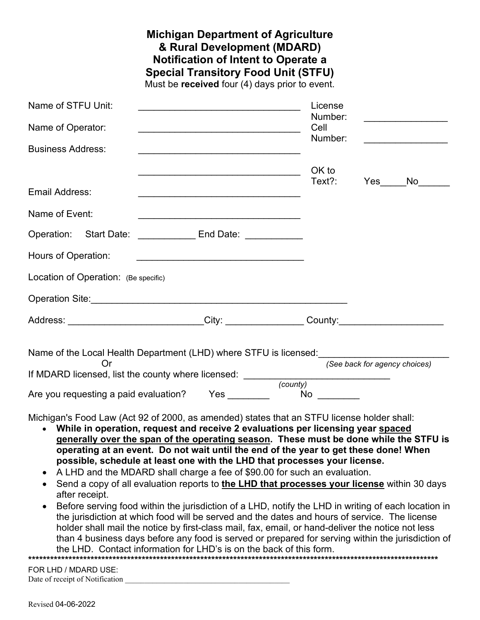|                                                                                            | <b>Special Transitory Food Unit (STFU)</b><br>Must be received four (4) days prior to event.                          | <b>Michigan Department of Agriculture</b><br>& Rural Development (MDARD)<br><b>Notification of Intent to Operate a</b> |         |                               |                                         |
|--------------------------------------------------------------------------------------------|-----------------------------------------------------------------------------------------------------------------------|------------------------------------------------------------------------------------------------------------------------|---------|-------------------------------|-----------------------------------------|
| Name of STFU Unit:                                                                         |                                                                                                                       | License                                                                                                                |         |                               |                                         |
| Name of Operator:                                                                          | <u> 1989 - Johann Barbara, margaret eta idazlearia (h. 1989).</u>                                                     | Number:<br>Cell                                                                                                        |         |                               | <u> 1989 - Johann Barbara, martxa a</u> |
| <b>Business Address:</b>                                                                   |                                                                                                                       |                                                                                                                        | Number: |                               |                                         |
|                                                                                            |                                                                                                                       | OK to                                                                                                                  |         |                               |                                         |
| Email Address:                                                                             |                                                                                                                       | Text?:                                                                                                                 |         |                               | Yes No                                  |
| Name of Event:                                                                             |                                                                                                                       |                                                                                                                        |         |                               |                                         |
| Operation: Start Date: ________________ End Date: ____________                             |                                                                                                                       |                                                                                                                        |         |                               |                                         |
| Hours of Operation:                                                                        | <u> 1989 - Johann Harry Harry Harry Harry Harry Harry Harry Harry Harry Harry Harry Harry Harry Harry Harry Harry</u> |                                                                                                                        |         |                               |                                         |
| Location of Operation: (Be specific)                                                       |                                                                                                                       |                                                                                                                        |         |                               |                                         |
| Operation Site: <u>Communication of the State of Australian Contractor</u>                 |                                                                                                                       |                                                                                                                        |         |                               |                                         |
| Address: ____________________________City: _________________County:______________          |                                                                                                                       |                                                                                                                        |         |                               |                                         |
| Name of the Local Health Department (LHD) where STFU is licensed:                          |                                                                                                                       |                                                                                                                        |         |                               |                                         |
| Or                                                                                         |                                                                                                                       |                                                                                                                        |         | (See back for agency choices) |                                         |
| Are you requesting a paid evaluation? Yes                                                  |                                                                                                                       | $No \ \$                                                                                                               |         |                               |                                         |
| Michigan's Food Law (Act 92 of 2000, as amended) states that an STFU license holder shall: |                                                                                                                       |                                                                                                                        |         |                               |                                         |

- **While in operation, request and receive 2 evaluations per licensing year spaced generally over the span of the operating season. These must be done while the STFU is operating at an event. Do not wait until the end of the year to get these done! When possible, schedule at least one with the LHD that processes your license.**
- A LHD and the MDARD shall charge a fee of \$90.00 for such an evaluation.
- Send a copy of all evaluation reports to **the LHD that processes your license** within 30 days after receipt.
- Before serving food within the jurisdiction of a LHD, notify the LHD in writing of each location in the jurisdiction at which food will be served and the dates and hours of service. The license holder shall mail the notice by first-class mail, fax, email, or hand-deliver the notice not less than 4 business days before any food is served or prepared for serving within the jurisdiction of the LHD. Contact information for LHD's is on the back of this form. **\*\*\*\*\*\*\*\*\*\*\*\*\*\*\*\*\*\*\*\*\*\*\*\*\*\*\*\*\*\*\*\*\*\*\*\*\*\*\*\*\*\*\*\*\*\*\*\*\*\*\*\*\*\*\*\*\*\*\*\*\*\*\*\*\*\*\*\*\*\*\*\*\*\*\*\*\*\*\*\*\*\*\*\*\*\*\*\*\*\*\*\*\*\*\*\*\*\*\*\*\*\*\*\*\*\*\*\*\*\*\*\***

FOR LHD / MDARD USE: Date of receipt of Notification